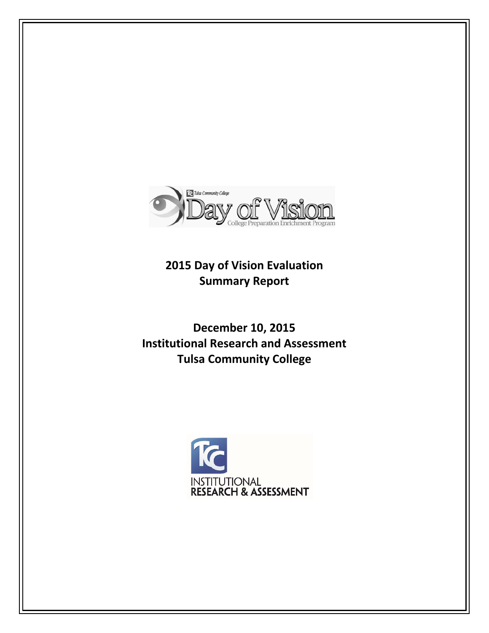

**2015 Day of Vision Evaluation Summary Report**

**December 10, 2015 Institutional Research and Assessment Tulsa Community College**

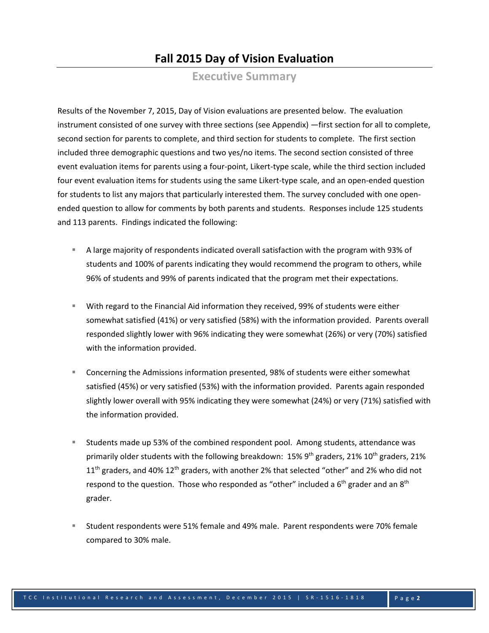# **Fall 2015 Day of Vision Evaluation**

**Executive Summary**

Results of the November 7, 2015, Day of Vision evaluations are presented below. The evaluation instrument consisted of one survey with three sections (see Appendix) —first section for all to complete, second section for parents to complete, and third section for students to complete. The first section included three demographic questions and two yes/no items. The second section consisted of three event evaluation items for parents using a four‐point, Likert‐type scale, while the third section included four event evaluation items for students using the same Likert-type scale, and an open-ended question for students to list any majors that particularly interested them. The survey concluded with one open‐ ended question to allow for comments by both parents and students. Responses include 125 students and 113 parents. Findings indicated the following:

- A large majority of respondents indicated overall satisfaction with the program with 93% of students and 100% of parents indicating they would recommend the program to others, while 96% of students and 99% of parents indicated that the program met their expectations.
- With regard to the Financial Aid information they received, 99% of students were either somewhat satisfied (41%) or very satisfied (58%) with the information provided. Parents overall responded slightly lower with 96% indicating they were somewhat (26%) or very (70%) satisfied with the information provided.
- Concerning the Admissions information presented, 98% of students were either somewhat satisfied (45%) or very satisfied (53%) with the information provided. Parents again responded slightly lower overall with 95% indicating they were somewhat (24%) or very (71%) satisfied with the information provided.
- Students made up 53% of the combined respondent pool. Among students, attendance was primarily older students with the following breakdown:  $15\%$  9<sup>th</sup> graders, 21% 10<sup>th</sup> graders, 21%  $11<sup>th</sup>$  graders, and 40%  $12<sup>th</sup>$  graders, with another 2% that selected "other" and 2% who did not respond to the question. Those who responded as "other" included a  $6<sup>th</sup>$  grader and an  $8<sup>th</sup>$ grader.
- Student respondents were 51% female and 49% male. Parent respondents were 70% female compared to 30% male.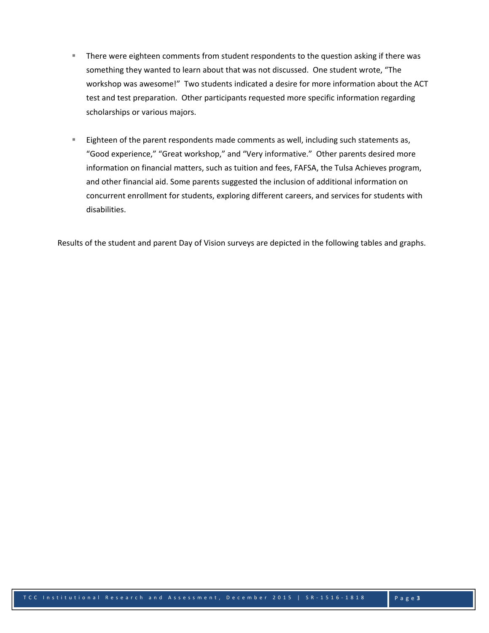- **There were eighteen comments from student respondents to the question asking if there was** something they wanted to learn about that was not discussed. One student wrote, "The workshop was awesome!" Two students indicated a desire for more information about the ACT test and test preparation. Other participants requested more specific information regarding scholarships or various majors.
- Eighteen of the parent respondents made comments as well, including such statements as, "Good experience," "Great workshop," and "Very informative." Other parents desired more information on financial matters, such as tuition and fees, FAFSA, the Tulsa Achieves program, and other financial aid. Some parents suggested the inclusion of additional information on concurrent enrollment for students, exploring different careers, and services for students with disabilities.

Results of the student and parent Day of Vision surveys are depicted in the following tables and graphs.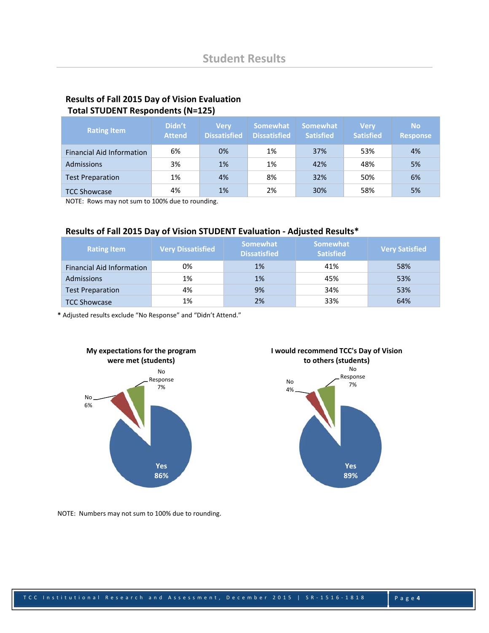### **Results of Fall 2015 Day of Vision Evaluation Total STUDENT Respondents (N=125)**

| <b>Rating Item</b>               | Didn't<br><b>Attend</b> | <b>Very</b><br><b>Dissatisfied</b> | <b>Somewhat</b><br><b>Dissatisfied</b> | <b>Somewhat</b><br><b>Satisfied</b> | <b>Very</b><br><b>Satisfied</b> | <b>No</b><br><b>Response</b> |
|----------------------------------|-------------------------|------------------------------------|----------------------------------------|-------------------------------------|---------------------------------|------------------------------|
| <b>Financial Aid Information</b> | 6%                      | 0%                                 | 1%                                     | 37%                                 | 53%                             | 4%                           |
| Admissions                       | 3%                      | 1%                                 | 1%                                     | 42%                                 | 48%                             | 5%                           |
| <b>Test Preparation</b>          | 1%                      | 4%                                 | 8%                                     | 32%                                 | 50%                             | 6%                           |
| <b>TCC Showcase</b>              | 4%                      | 1%                                 | 2%                                     | 30%                                 | 58%                             | 5%                           |

NOTE: Rows may not sum to 100% due to rounding.

## **Results of Fall 2015 Day of Vision STUDENT Evaluation ‐ Adjusted Results\***

| <b>Rating Item</b>               | <b>Very Dissatisfied</b> | Somewhat<br><b>Dissatisfied</b> | <b>Somewhat</b><br><b>Satisfied</b> | <b>Very Satisfied</b> |
|----------------------------------|--------------------------|---------------------------------|-------------------------------------|-----------------------|
| <b>Financial Aid Information</b> | 0%                       | 1%                              | 41%                                 | 58%                   |
| Admissions                       | 1%                       | 1%                              | 45%                                 | 53%                   |
| <b>Test Preparation</b>          | 4%                       | 9%                              | 34%                                 | 53%                   |
| <b>TCC Showcase</b>              | 1%                       | 2%                              | 33%                                 | 64%                   |

**\*** Adjusted results exclude "No Response" and "Didn't Attend."



**I would recommend TCC's Day of Vision to others (students)**



NOTE: Numbers may not sum to 100% due to rounding.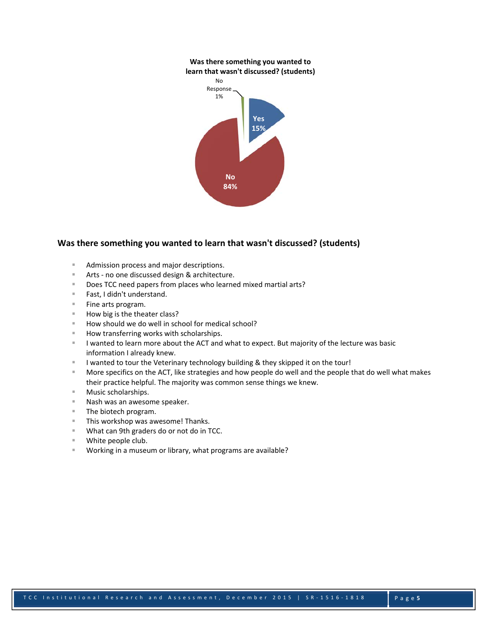#### **Was there something you wanted to learn that wasn't discussed? (students)**



#### **Was there something you wanted to learn that wasn't discussed? (students)**

- Admission process and major descriptions.
- Arts no one discussed design & architecture.
- Does TCC need papers from places who learned mixed martial arts?
- Fast, I didn't understand.
- $\blacksquare$  Fine arts program.
- $\blacksquare$  How big is the theater class?
- $\blacksquare$  How should we do well in school for medical school?
- How transferring works with scholarships.
- I lwanted to learn more about the ACT and what to expect. But majority of the lecture was basic information I already knew.
- I wanted to tour the Veterinary technology building & they skipped it on the tour!
- More specifics on the ACT, like strategies and how people do well and the people that do well what makes their practice helpful. The majority was common sense things we knew.
- Music scholarships.
- Nash was an awesome speaker.
- **The biotech program.**
- **This workshop was awesome! Thanks.**
- **What can 9th graders do or not do in TCC.**
- White people club.
- Working in a museum or library, what programs are available?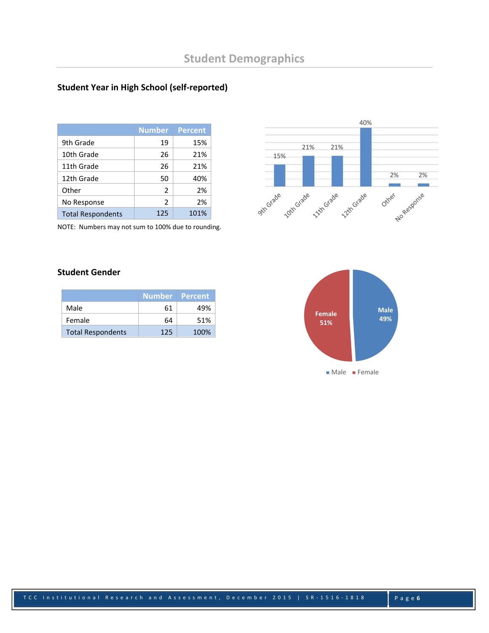# **Student Year in High School (self‐reported)**

|                          | <b>Number</b>  | <b>Percent</b> |
|--------------------------|----------------|----------------|
| 9th Grade                | 19             | 15%            |
| 10th Grade               | 26             | 21%            |
| 11th Grade               | 26             | 21%            |
| 12th Grade               | 50             | 40%            |
| Other                    | $\overline{2}$ | 2%             |
| No Response              | $\overline{2}$ | 2%             |
| <b>Total Respondents</b> | 125            | 101%           |

NOTE: Numbers may not sum to 100% due to rounding.



# **Student Gender**

|                          | <b>Number Percent</b> |      |
|--------------------------|-----------------------|------|
| Male                     | 61                    | 49%  |
| Female                   | 64                    | 51%  |
| <b>Total Respondents</b> | 125                   | 100% |

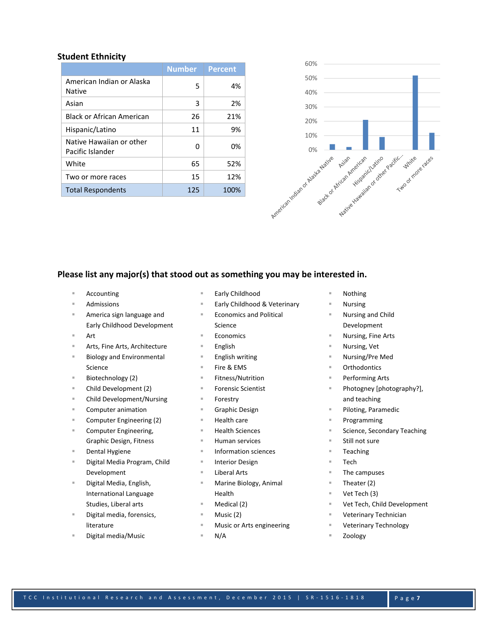#### **Student Ethnicity**

|                                              | <b>Number</b> | <b>Percent</b> |
|----------------------------------------------|---------------|----------------|
| American Indian or Alaska<br>Native          | 5             | 4%             |
| Asian                                        | 3             | 2%             |
| Black or African American                    | 26            | 21%            |
| Hispanic/Latino                              | 11            | 9%             |
| Native Hawaiian or other<br>Pacific Islander | ŋ             | 0%             |
| White                                        | 65            | 52%            |
| Two or more races                            | 15            | 12%            |
| <b>Total Respondents</b>                     | 125           | 100%           |



#### **Please list any major(s) that stood out as something you may be interested in.**

- Accounting
- Admissions
- America sign language and Early Childhood Development
- Art
- Arts, Fine Arts, Architecture
- Biology and Environmental Science
- Biotechnology (2)
- Child Development (2)
- Child Development/Nursing
- Computer animation
- Computer Engineering (2)
- Computer Engineering, Graphic Design, Fitness
- Dental Hygiene
- Digital Media Program, Child Development
- Digital Media, English, International Language Studies, Liberal arts
- Digital media, forensics, literature
- Digital media/Music
- Early Childhood
- Early Childhood & Veterinary
- Economics and Political Science
- Economics
- English
- English writing
- Fire & EMS
- Fitness/Nutrition
- Forensic Scientist
- Forestry
- Graphic Design
- Health care
- Health Sciences
- Human services
- Information sciences
- Interior Design
- Liberal Arts
- Marine Biology, Animal Health
- Medical (2)
- Music (2)
- Music or Arts engineering
- N/A
- Nothing
- Nursing
- Nursing and Child Development
- Nursing, Fine Arts
- Nursing, Vet
- Nursing/Pre Med
- **Orthodontics**
- Performing Arts
- Photogney [photography?], and teaching
- Piloting, Paramedic
- Programming
- Science, Secondary Teaching
- Still not sure
- Teaching
- Tech
- The campuses
- Theater (2)
- Vet Tech (3)
- Vet Tech, Child Development
- Veterinary Technician
- Veterinary Technology
- Zoology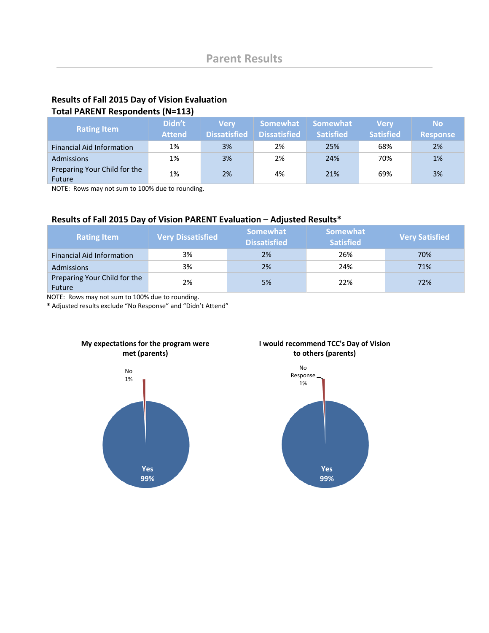# **Results of Fall 2015 Day of Vision Evaluation Total PARENT Respondents (N=113)**

| <b>Rating Item</b>                            | Didn't<br><b>Attend</b> | <b>Nerv</b><br><b>Dissatisfied</b> | Somewhat<br><b>Dissatisfied</b> | <b>Somewhat</b><br><b>Satisfied</b> | <b>Very</b><br><b>Satisfied</b> | <b>No</b><br><b>Response</b> |
|-----------------------------------------------|-------------------------|------------------------------------|---------------------------------|-------------------------------------|---------------------------------|------------------------------|
| <b>Financial Aid Information</b>              | 1%                      | 3%                                 | 2%                              | 25%                                 | 68%                             | 2%                           |
| <b>Admissions</b>                             | 1%                      | 3%                                 | 2%                              | 24%                                 | 70%                             | 1%                           |
| Preparing Your Child for the<br><b>Future</b> | 1%                      | 2%                                 | 4%                              | 21%                                 | 69%                             | 3%                           |

NOTE: Rows may not sum to 100% due to rounding.

# **Results of Fall 2015 Day of Vision PARENT Evaluation – Adjusted Results\***

| <b>Rating Item</b>                            | <b>Very Dissatisfied</b> | <b>Somewhat</b><br><b>Dissatisfied</b> | <b>Somewhat</b><br><b>Satisfied</b> | <b>Very Satisfied</b> |
|-----------------------------------------------|--------------------------|----------------------------------------|-------------------------------------|-----------------------|
| <b>Financial Aid Information</b>              | 3%                       | 2%                                     | 26%                                 | 70%                   |
| <b>Admissions</b>                             | 3%                       | 2%                                     | 24%                                 | 71%                   |
| Preparing Your Child for the<br><b>Future</b> | 2%                       | 5%                                     | 22%                                 | 72%                   |

NOTE: Rows may not sum to 100% due to rounding.

**\*** Adjusted results exclude "No Response" and "Didn't Attend"

**My expectations for the program were**



#### **I would recommend TCC's Day of Vision to others (parents)**

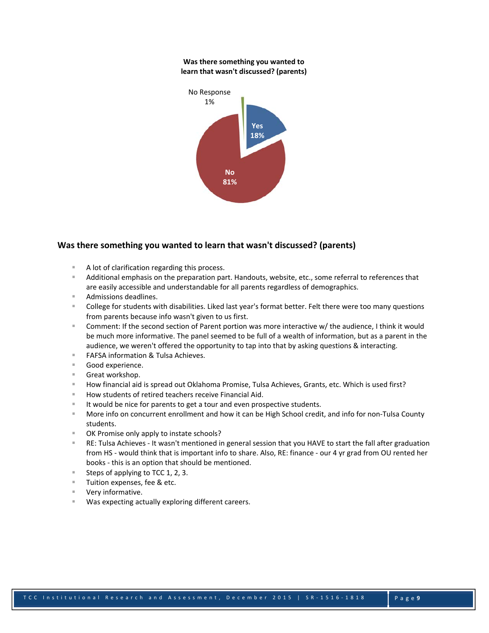#### **Was there something you wanted to learn that wasn't discussed? (parents)**



#### **Was there something you wanted to learn that wasn't discussed? (parents)**

- A lot of clarification regarding this process.
- Additional emphasis on the preparation part. Handouts, website, etc., some referral to references that are easily accessible and understandable for all parents regardless of demographics.
- Admissions deadlines.
- College for students with disabilities. Liked last year's format better. Felt there were too many questions from parents because info wasn't given to us first.
- Comment: If the second section of Parent portion was more interactive w/ the audience, I think it would be much more informative. The panel seemed to be full of a wealth of information, but as a parent in the audience, we weren't offered the opportunity to tap into that by asking questions & interacting.
- FAFSA information & Tulsa Achieves.
- Good experience.
- Great workshop.
- How financial aid is spread out Oklahoma Promise, Tulsa Achieves, Grants, etc. Which is used first?
- How students of retired teachers receive Financial Aid.
- It would be nice for parents to get a tour and even prospective students.
- More info on concurrent enrollment and how it can be High School credit, and info for non‐Tulsa County students.
- OK Promise only apply to instate schools?
- RE: Tulsa Achieves ‐ It wasn't mentioned in general session that you HAVE to start the fall after graduation from HS - would think that is important info to share. Also, RE: finance - our 4 yr grad from OU rented her books ‐ this is an option that should be mentioned.
- Steps of applying to TCC 1, 2, 3.
- **Tuition expenses, fee & etc.**
- Very informative.
- Was expecting actually exploring different careers.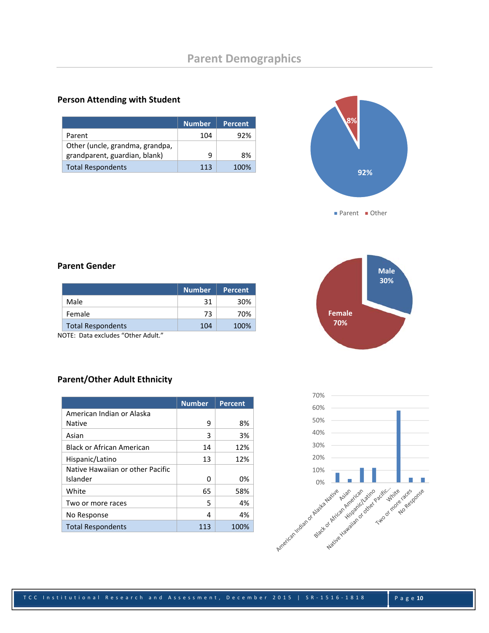#### **Person Attending with Student**

|                                 | <b>Number</b> | <b>Percent</b> |
|---------------------------------|---------------|----------------|
| Parent                          | 104           | 92%            |
| Other (uncle, grandma, grandpa, |               |                |
| grandparent, guardian, blank)   | q             | 8%             |
| <b>Total Respondents</b>        | 113           | 100%           |



■ Parent ■ Other

#### **Parent Gender**

|                          | <b>Number</b> | <b>Percent</b> |
|--------------------------|---------------|----------------|
| Male                     | 31            | 30%            |
| Female                   | 73            | 70%            |
| <b>Total Respondents</b> | 104           | 100%           |

NOTE: Data excludes "Other Adult."

# **Male 30% Female 70%**

# **Parent/Other Adult Ethnicity**

|                                  | <b>Number</b> | <b>Percent</b> |
|----------------------------------|---------------|----------------|
| American Indian or Alaska        |               |                |
| <b>Native</b>                    | 9             | 8%             |
| Asian                            | 3             | 3%             |
| <b>Black or African American</b> | 14            | 12%            |
| Hispanic/Latino                  | 13            | 12%            |
| Native Hawaiian or other Pacific |               |                |
| Islander                         | ი             | 0%             |
| White                            | 65            | 58%            |
| Two or more races                | 5             | 4%             |
| No Response                      | 4             | 4%             |
| <b>Total Respondents</b>         | 113           | 100%           |

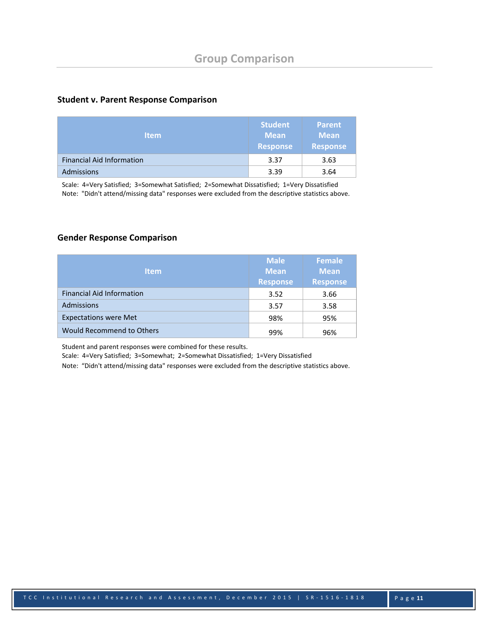#### **Student v. Parent Response Comparison**

| <b>Item</b>                      | <b>Student</b><br><b>Mean</b><br><b>Response</b> | <b>Parent</b><br><b>Mean</b><br><b>Response</b> |
|----------------------------------|--------------------------------------------------|-------------------------------------------------|
| <b>Financial Aid Information</b> | 3.37                                             | 3.63                                            |
| <b>Admissions</b>                | 3.39                                             | 3.64                                            |

 Scale: 4=Very Satisfied; 3=Somewhat Satisfied; 2=Somewhat Dissatisfied; 1=Very Dissatisfied Note: "Didn't attend/missing data" responses were excluded from the descriptive statistics above.

#### **Gender Response Comparison**

| <b>Item</b>                      | <b>Male</b><br><b>Mean</b><br><b>Response</b> | <b>Female</b><br><b>Mean</b><br><b>Response</b> |
|----------------------------------|-----------------------------------------------|-------------------------------------------------|
| <b>Financial Aid Information</b> | 3.52                                          | 3.66                                            |
| Admissions                       | 3.57                                          | 3.58                                            |
| <b>Expectations were Met</b>     | 98%                                           | 95%                                             |
| <b>Would Recommend to Others</b> | 99%                                           | 96%                                             |

Student and parent responses were combined for these results.

Scale: 4=Very Satisfied; 3=Somewhat; 2=Somewhat Dissatisfied; 1=Very Dissatisfied

Note: "Didn't attend/missing data" responses were excluded from the descriptive statistics above.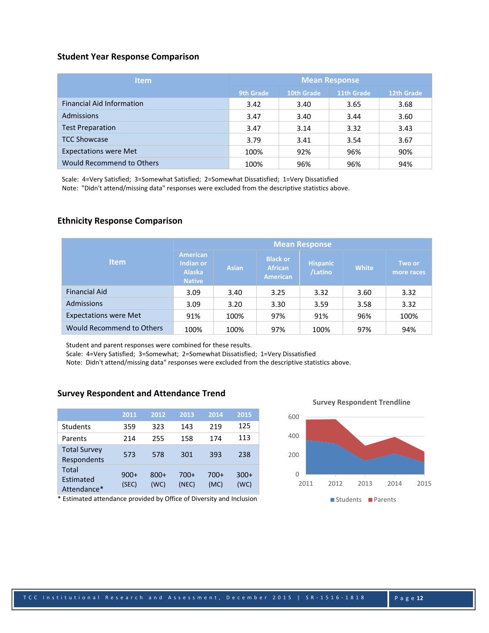#### **Student Year Response Comparison**

| <b>Item</b>                      |           |            | <b>Mean Response</b> |            |
|----------------------------------|-----------|------------|----------------------|------------|
|                                  | 9th Grade | 10th Grade | 11th Grade           | 12th Grade |
| <b>Financial Aid Information</b> | 3.42      | 3.40       | 3.65                 | 3.68       |
| <b>Admissions</b>                | 3.47      | 3.40       | 3.44                 | 3.60       |
| <b>Test Preparation</b>          | 3.47      | 3.14       | 3.32                 | 3.43       |
| <b>TCC Showcase</b>              | 3.79      | 3.41       | 3.54                 | 3.67       |
| <b>Expectations were Met</b>     | 100%      | 92%        | 96%                  | 90%        |
| Would Recommend to Others        | 100%      | 96%        | 96%                  | 94%        |

Scale: 4=Very Satisfied; 3=Somewhat Satisfied; 2=Somewhat Dissatisfied; 1=Very Dissatisfied Note: "Didn't attend/missing data" responses were excluded from the descriptive statistics above.

#### **Ethnicity Response Comparison**

|                              |                                                                       |              |                                                      | <b>Mean Response</b>       |              |                      |
|------------------------------|-----------------------------------------------------------------------|--------------|------------------------------------------------------|----------------------------|--------------|----------------------|
| <b>Item</b>                  | <b>American</b><br><b>Indian or</b><br><b>Alaska</b><br><b>Native</b> | <b>Asian</b> | <b>Black or</b><br><b>African</b><br><b>American</b> | <b>Hispanic</b><br>/Latino | <b>White</b> | Two or<br>more races |
| <b>Financial Aid</b>         | 3.09                                                                  | 3.40         | 3.25                                                 | 3.32                       | 3.60         | 3.32                 |
| Admissions                   | 3.09                                                                  | 3.20         | 3.30                                                 | 3.59                       | 3.58         | 3.32                 |
| <b>Expectations were Met</b> | 91%                                                                   | 100%         | 97%                                                  | 91%                        | 96%          | 100%                 |
| Would Recommend to Others    | 100%                                                                  | 100%         | 97%                                                  | 100%                       | 97%          | 94%                  |

Student and parent responses were combined for these results.

Scale: 4=Very Satisfied; 3=Somewhat; 2=Somewhat Dissatisfied; 1=Very Dissatisfied

Note: Didn't attend/missing data" responses were excluded from the descriptive statistics above.

#### **Survey Respondent and Attendance Trend**

|                                    | 2011            | 2012           | 2013          | 2014         | 2015           |
|------------------------------------|-----------------|----------------|---------------|--------------|----------------|
| Students                           | 359             | 323            | 143           | 219          | 125            |
| Parents                            | 214             | 255            | 158           | 174          | 113            |
| <b>Total Survey</b><br>Respondents | 573             | 578            | 301           | 393          | 238            |
| Total<br>Estimated<br>Attendance*  | $900+$<br>(SEC) | $800+$<br>(WC) | 700+<br>(NEC) | 700+<br>(MC) | $300+$<br>(WC) |

\* Estimated attendance provided by Office of Diversity and Inclusion